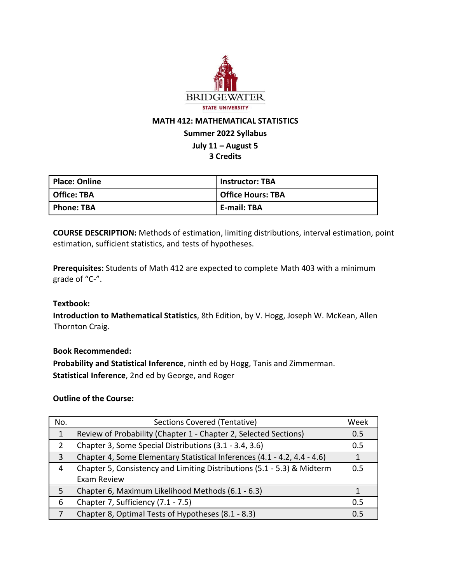

# **MATH 412: MATHEMATICAL STATISTICS**

# **Summer 2022 Syllabus**

# **July 11 – August 5**

## **3 Credits**

| Place: Online     | <b>Instructor: TBA</b>   |
|-------------------|--------------------------|
| Office: TBA       | <b>Office Hours: TBA</b> |
| <b>Phone: TBA</b> | <b>E-mail: TBA</b>       |

**COURSE DESCRIPTION:** Methods of estimation, limiting distributions, interval estimation, point estimation, sufficient statistics, and tests of hypotheses.

**Prerequisites:** Students of Math 412 are expected to complete Math 403 with a minimum grade of "C-".

#### **Textbook:**

**Introduction to Mathematical Statistics**, 8th Edition, by V. Hogg, Joseph W. McKean, Allen Thornton Craig.

#### **Book Recommended:**

**Probability and Statistical Inference**, ninth ed by Hogg, Tanis and Zimmerman. **Statistical Inference**, 2nd ed by George, and Roger

#### **Outline of the Course:**

| No. | Sections Covered (Tentative)                                             |     |  |
|-----|--------------------------------------------------------------------------|-----|--|
| 1   | Review of Probability (Chapter 1 - Chapter 2, Selected Sections)         |     |  |
|     | Chapter 3, Some Special Distributions (3.1 - 3.4, 3.6)                   | 0.5 |  |
| 3   | Chapter 4, Some Elementary Statistical Inferences (4.1 - 4.2, 4.4 - 4.6) |     |  |
| 4   | Chapter 5, Consistency and Limiting Distributions (5.1 - 5.3) & Midterm  |     |  |
|     | Exam Review                                                              |     |  |
| 5   | Chapter 6, Maximum Likelihood Methods (6.1 - 6.3)                        |     |  |
| 6   | Chapter 7, Sufficiency (7.1 - 7.5)                                       | 0.5 |  |
| 7   | Chapter 8, Optimal Tests of Hypotheses (8.1 - 8.3)                       | 0.5 |  |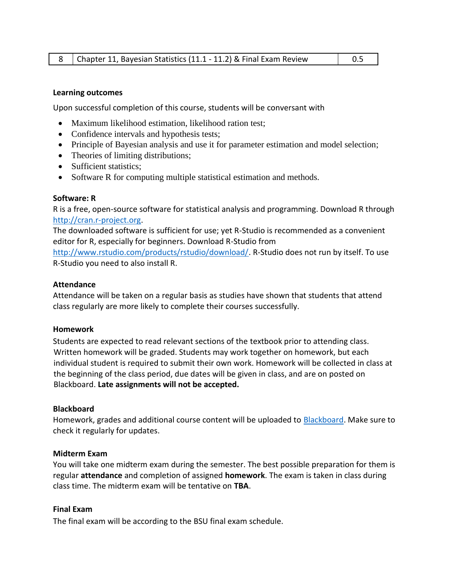#### **Learning outcomes**

Upon successful completion of this course, students will be conversant with

- Maximum likelihood estimation, likelihood ration test;
- Confidence intervals and hypothesis tests;
- Principle of Bayesian analysis and use it for parameter estimation and model selection;
- Theories of limiting distributions;
- Sufficient statistics;
- Software R for computing multiple statistical estimation and methods.

#### **Software: R**

R is a free, open-source software for statistical analysis and programming. Download R through [http://cran.r-project.org.](http://cran.r-project.org/)

The downloaded software is sufficient for use; yet R-Studio is recommended as a convenient editor for R, especially for beginners. Download R-Studio from

[http://www.rstudio.com/products/rstudio/download/.](http://www.rstudio.com/products/rstudio/download/) R-Studio does not run by itself. To use R-Studio you need to also install R.

#### **Attendance**

Attendance will be taken on a regular basis as studies have shown that students that attend class regularly are more likely to complete their courses successfully.

#### **Homework**

Students are expected to read relevant sections of the textbook prior to attending class. Written homework will be graded. Students may work together on homework, but each individual student is required to submit their own work. Homework will be collected in class at the beginning of the class period, due dates will be given in class, and are on posted on Blackboard. **Late assignments will not be accepted.**

#### **Blackboard**

Homework, grades and additional course content will be uploaded to [Blackboard.](https://bridgew.blackboard.com/) Make sure to check it regularly for updates.

#### **Midterm Exam**

You will take one midterm exam during the semester. The best possible preparation for them is regular **attendance** and completion of assigned **homework**. The exam is taken in class during class time. The midterm exam will be tentative on **TBA**.

#### **Final Exam**

The final exam will be according to the BSU final exam schedule.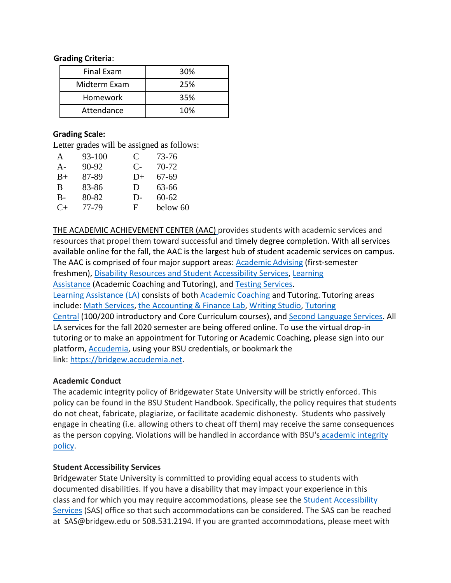#### **Grading Criteria**:

| <b>Final Exam</b> | 30% |  |
|-------------------|-----|--|
| Midterm Exam      | 25% |  |
| Homework          | 35% |  |
| Attendance        | 10% |  |

### **Grading Scale:**

Letter grades will be assigned as follows:

| A         | 93-100 | C    | 73-76     |
|-----------|--------|------|-----------|
| $A -$     | 90-92  | $C-$ | 70-72     |
| $B+$      | 87-89  | $D+$ | 67-69     |
| B         | 83-86  | D    | 63-66     |
| $B-$      | 80-82  | D-   | $60 - 62$ |
| $C_{\pm}$ | 77-79  | F.   | below 60  |

THE ACADEMIC [ACHIEVEMENT](https://my.bridgew.edu/departments/AAC/SitePages/Home.aspx) CENTER (AAC) provides students with academic services and resources that propel them toward successful and timely degree completion. With all services available online for the fall, the AAC is the largest hub of student academic services on campus. The AAC is comprised of four major support areas: [Academic](https://my.bridgew.edu/departments/AAC/SitePages/Academic%20Advising.aspx) Advising (first-semester freshmen), Disability Resources and Student [Accessibility](https://my.bridgew.edu/departments/DRO/SitePages/Welcome.aspx) Services, [Learning](https://my.bridgew.edu/departments/AAC/SitePages/Learning%20Assistance.aspx) [Assistance](https://my.bridgew.edu/departments/AAC/SitePages/Learning%20Assistance.aspx) (Academic Coaching and Tutoring), and Testing [Services.](https://my.bridgew.edu/departments/TestingServices/SitePages/Home.aspx) Learning [Assistance](https://my.bridgew.edu/departments/AAC/SitePages/Learning%20Assistance.aspx) (LA) consists of both [Academic](https://my.bridgew.edu/departments/AcademicCoaching/SitePages/Home.aspx) Coaching and Tutoring. Tutoring areas include: Math [Services,](https://my.bridgew.edu/departments/MathServices/SitePages/Home.aspx) the [Accounting](https://my.bridgew.edu/departments/AAC/SitePages/Accounting%20and%20Finance%20Lab.aspx) & Finance Lab, [Writing](https://my.bridgew.edu/departments/WritingStudio/SitePages/Home.aspx) Studio, [Tutoring](https://my.bridgew.edu/departments/TutoringCentral/SitePages/Home.aspx) [Central](https://my.bridgew.edu/departments/TutoringCentral/SitePages/Home.aspx) (100/200 introductory and Core Curriculum courses), and Second [Language](https://my.bridgew.edu/departments/SecondLanguage/SitePages/Home.aspx) Services. All LA services for the fall 2020 semester are being offered online. To use the virtual drop-in tutoring or to make an appointment for Tutoring or Academic Coaching, please sign into our platform, [Accudemia,](https://nam04.safelinks.protection.outlook.com/?url=https%3A%2F%2Fbridgew.accudemia.net%2F&data=02%7C01%7CWYU%40bridgew.edu%7C8eaaf07f085b4143445608d84470f244%7C48ec3bf8d1654eabbbeef8d5307f46e1%7C0%7C0%7C637334599404073258&sdata=yt579%2FmS%2BI5ne77dU%2FRNS9M60gWXam%2Bc6hkfFlauPFs%3D&reserved=0) using your BSU credentials, or bookmark the link: [https://bridgew.accudemia.net.](https://nam04.safelinks.protection.outlook.com/?url=https%3A%2F%2Fbridgew.accudemia.net%2F&data=02%7C01%7CWYU%40bridgew.edu%7C8eaaf07f085b4143445608d84470f244%7C48ec3bf8d1654eabbbeef8d5307f46e1%7C0%7C0%7C637334599404073258&sdata=yt579%2FmS%2BI5ne77dU%2FRNS9M60gWXam%2Bc6hkfFlauPFs%3D&reserved=0)

## **Academic Conduct**

The academic integrity policy of Bridgewater State University will be strictly enforced. This policy can be found in the BSU Student Handbook. Specifically, the policy requires that students do not cheat, fabricate, plagiarize, or facilitate academic dishonesty. Students who passively engage in cheating (i.e. allowing others to cheat off them) may receive the same consequences as the person copying. Violations will be handled in accordance with BSU's [academic](https://www.bridgew.edu/academic-integrity) integrity [policy.](https://www.bridgew.edu/academic-integrity)

## **Student Accessibility Services**

Bridgewater State University is committed to providing equal access to students with documented disabilities. If you have a disability that may impact your experience in this class and for which you may require accommodations, please see the Student [Accessibility](https://my.bridgew.edu/departments/SAS/SitePages/Welcome.aspx) [Services](https://my.bridgew.edu/departments/SAS/SitePages/Welcome.aspx) (SAS) office so that such accommodations can be considered. The SAS can be reached at SAS@bridgew.edu or 508.531.2194. If you are granted accommodations, please meet with